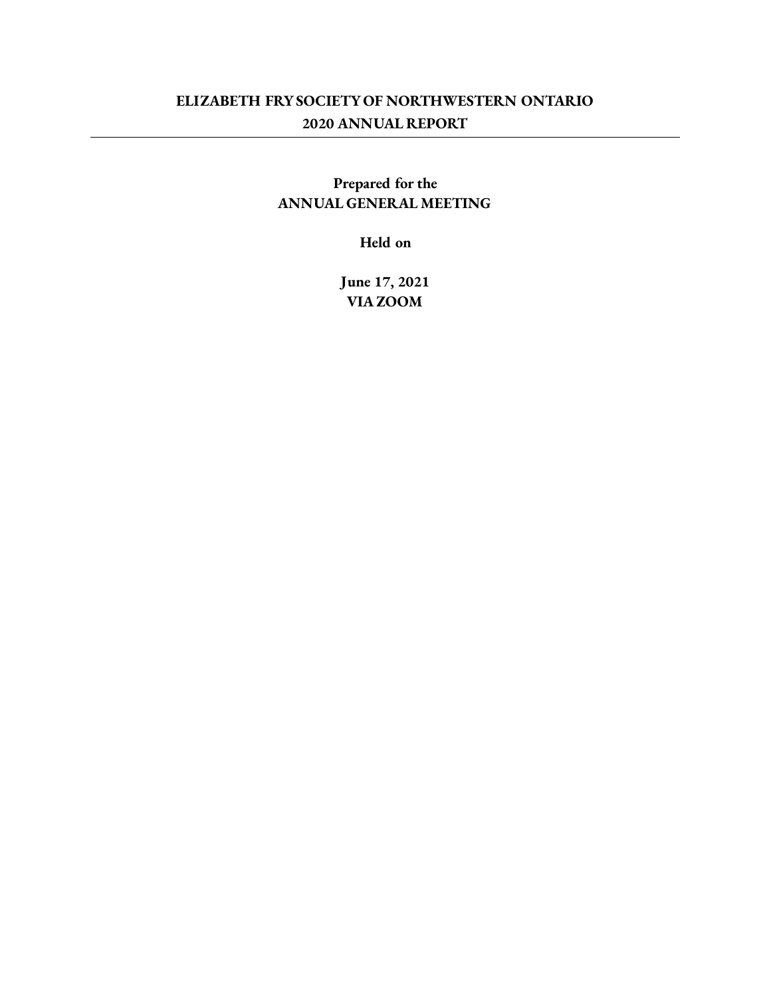## **ELIZABETH FRYSOCIETY OF NORTHWESTERN ONTARIO 2020 ANNUAL REPORT**

## **Prepared for the ANNUAL GENERAL MEETING**

**Held on**

**June 17, 2021 VIA ZOOM**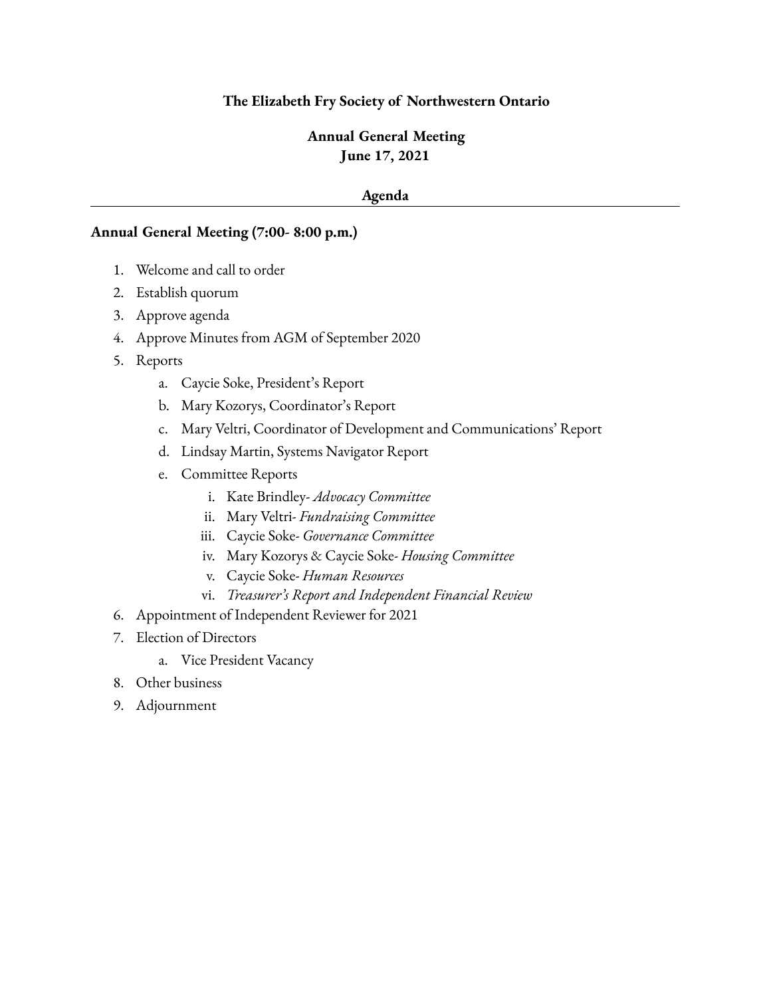#### **The Elizabeth Fry Society of Northwestern Ontario**

## **Annual General Meeting June 17, 2021**

#### **Agenda**

#### **Annual General Meeting (7:00- 8:00 p.m.)**

- 1. Welcome and call to order
- 2. Establish quorum
- 3. Approve agenda
- 4. Approve Minutes from AGM of September 2020
- 5. Reports
	- a. Caycie Soke, President's Report
	- b. Mary Kozorys, Coordinator's Report
	- c. Mary Veltri, Coordinator of Development and Communications' Report
	- d. Lindsay Martin, Systems Navigator Report
	- e. Committee Reports
		- i. Kate Brindley- *Advocacy Committee*
		- ii. Mary Veltri- *Fundraising Committee*
		- iii. Caycie Soke- *Governance Committee*
		- iv. Mary Kozorys & Caycie Soke- *Housing Committee*
		- v. Caycie Soke- *Human Resources*
		- vi. *Treasurer's Report and Independent Financial Review*
- 6. Appointment of Independent Reviewer for 2021
- 7. Election of Directors
	- a. Vice President Vacancy
- 8. Other business
- 9. Adjournment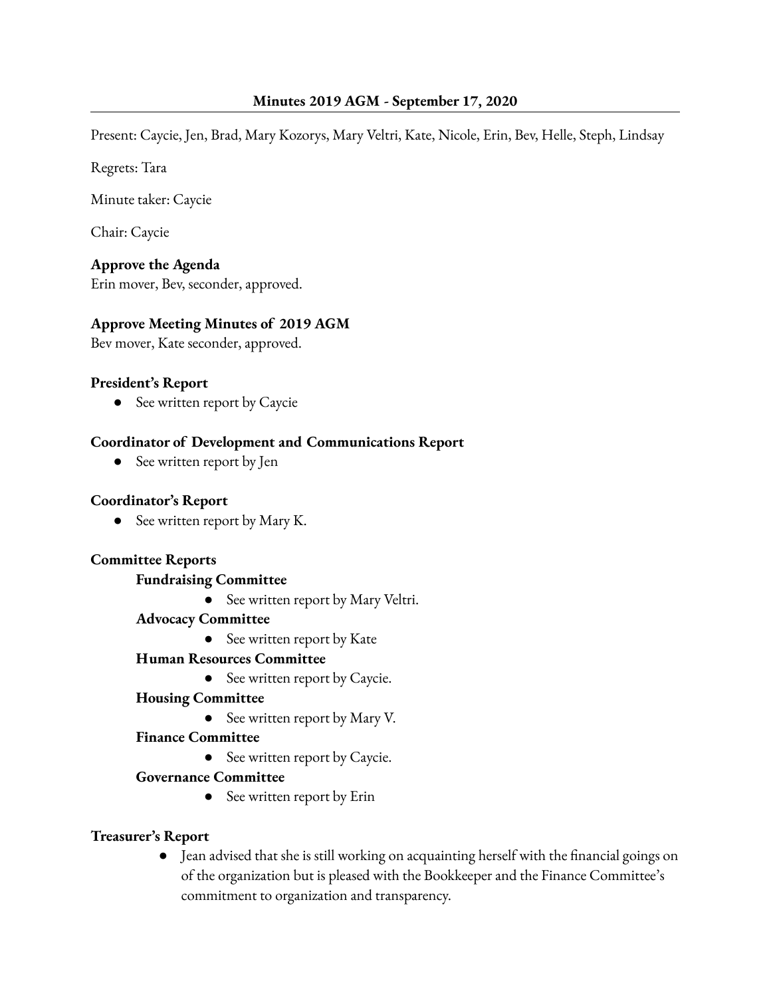Present: Caycie, Jen, Brad, Mary Kozorys, Mary Veltri, Kate, Nicole, Erin, Bev, Helle, Steph, Lindsay

Regrets: Tara

Minute taker: Caycie

Chair: Caycie

**Approve the Agenda**

Erin mover, Bev, seconder, approved.

## **Approve Meeting Minutes of 2019 AGM**

Bev mover, Kate seconder, approved.

#### **President's Report**

• See written report by Caycie

#### **Coordinator of Development and Communications Report**

• See written report by Jen

#### **Coordinator's Report**

● See written report by Mary K.

#### **Committee Reports**

#### **Fundraising Committee**

- See written report by Mary Veltri.
- **Advocacy Committee**
	- See written report by Kate

#### **Human Resources Committee**

**●** See written report by Caycie.

#### **Housing Committee**

• See written report by Mary V.

#### **Finance Committee**

**●** See written report by Caycie.

#### **Governance Committee**

• See written report by Erin

## **Treasurer's Report**

● Jean advised that she is still working on acquainting herself with the financial goings on of the organization but is pleased with the Bookkeeper and the Finance Committee's commitment to organization and transparency.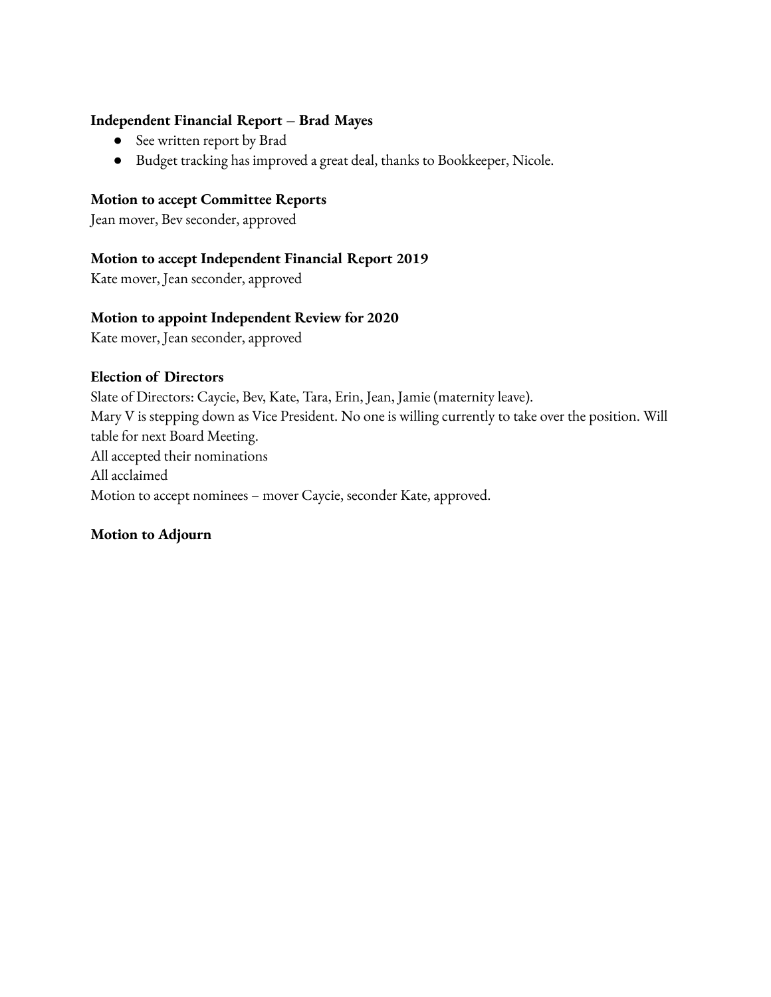#### **Independent Financial Report – Brad Mayes**

- See written report by Brad
- Budget tracking has improved a great deal, thanks to Bookkeeper, Nicole.

#### **Motion to accept Committee Reports**

Jean mover, Bev seconder, approved

#### **Motion to accept Independent Financial Report 2019**

Kate mover, Jean seconder, approved

#### **Motion to appoint Independent Review for 2020**

Kate mover, Jean seconder, approved

#### **Election of Directors**

Slate of Directors: Caycie, Bev, Kate, Tara, Erin, Jean, Jamie (maternity leave). Mary V is stepping down as Vice President. No one is willing currently to take over the position. Will table for next Board Meeting. All accepted their nominations All acclaimed Motion to accept nominees – mover Caycie, seconder Kate, approved.

## **Motion to Adjourn**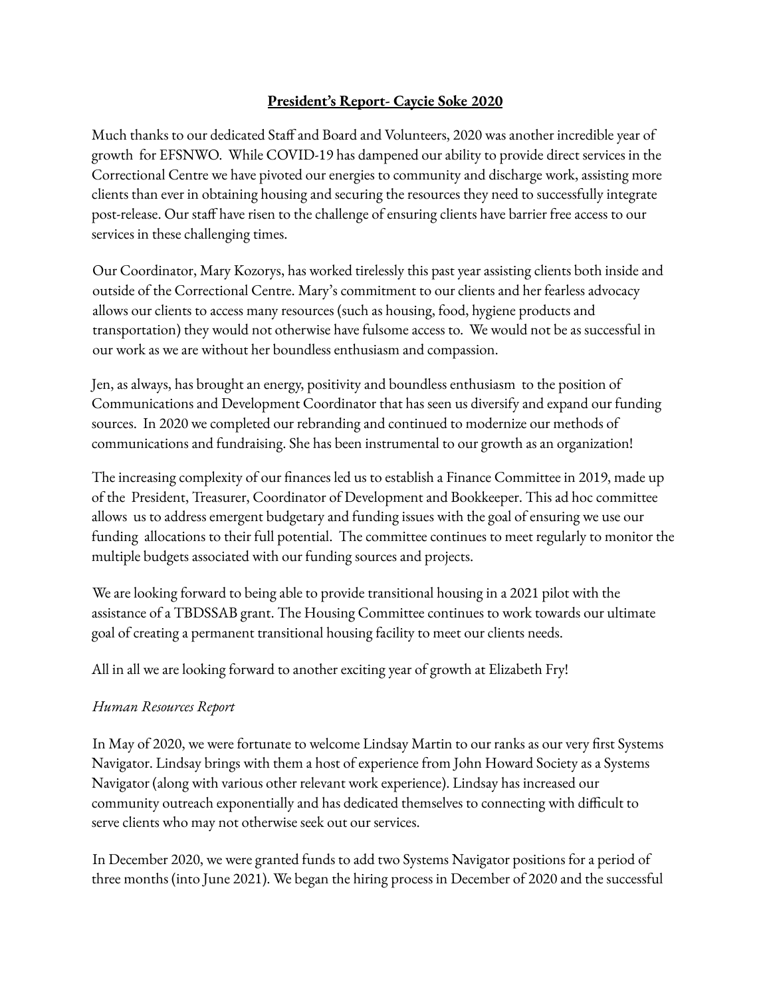## **President's Report- Caycie Soke 2020**

Much thanks to our dedicated Staff and Board and Volunteers, 2020 was another incredible year of growth for EFSNWO. While COVID-19 has dampened our ability to provide direct services in the Correctional Centre we have pivoted our energies to community and discharge work, assisting more clients than ever in obtaining housing and securing the resources they need to successfully integrate post-release. Our staff have risen to the challenge of ensuring clients have barrier free access to our services in these challenging times.

Our Coordinator, Mary Kozorys, has worked tirelessly this past year assisting clients both inside and outside of the Correctional Centre. Mary's commitment to our clients and her fearless advocacy allows our clients to access many resources (such as housing, food, hygiene products and transportation) they would not otherwise have fulsome access to. We would not be as successful in our work as we are without her boundless enthusiasm and compassion.

Jen, as always, has brought an energy, positivity and boundless enthusiasm to the position of Communications and Development Coordinator that has seen us diversify and expand our funding sources. In 2020 we completed our rebranding and continued to modernize our methods of communications and fundraising. She has been instrumental to our growth as an organization!

The increasing complexity of our finances led us to establish a Finance Committee in 2019, made up of the President, Treasurer, Coordinator of Development and Bookkeeper. This ad hoc committee allows us to address emergent budgetary and funding issues with the goal of ensuring we use our funding allocations to their full potential. The committee continues to meet regularly to monitor the multiple budgets associated with our funding sources and projects.

We are looking forward to being able to provide transitional housing in a 2021 pilot with the assistance of a TBDSSAB grant. The Housing Committee continues to work towards our ultimate goal of creating a permanent transitional housing facility to meet our clients needs.

All in all we are looking forward to another exciting year of growth at Elizabeth Fry!

## *Human Resources Report*

In May of 2020, we were fortunate to welcome Lindsay Martin to our ranks as our very first Systems Navigator. Lindsay brings with them a host of experience from John Howard Society as a Systems Navigator (along with various other relevant work experience). Lindsay has increased our community outreach exponentially and has dedicated themselves to connecting with difficult to serve clients who may not otherwise seek out our services.

In December 2020, we were granted funds to add two Systems Navigator positions for a period of three months (into June 2021). We began the hiring process in December of 2020 and the successful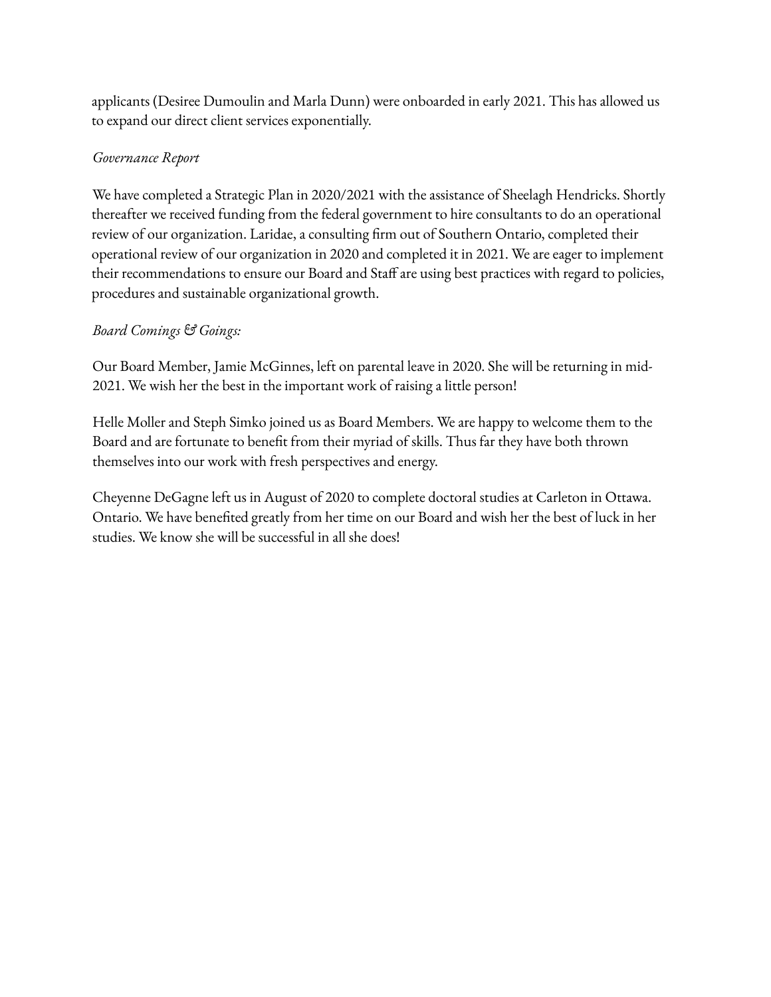applicants (Desiree Dumoulin and Marla Dunn) were onboarded in early 2021. This has allowed us to expand our direct client services exponentially.

## *Governance Report*

We have completed a Strategic Plan in 2020/2021 with the assistance of Sheelagh Hendricks. Shortly thereafter we received funding from the federal government to hire consultants to do an operational review of our organization. Laridae, a consulting firm out of Southern Ontario, completed their operational review of our organization in 2020 and completed it in 2021. We are eager to implement their recommendations to ensure our Board and Staff are using best practices with regard to policies, procedures and sustainable organizational growth.

## *Board Comings & Goings:*

Our Board Member, Jamie McGinnes, left on parental leave in 2020. She will be returning in mid-2021. We wish her the best in the important work of raising a little person!

Helle Moller and Steph Simko joined us as Board Members. We are happy to welcome them to the Board and are fortunate to benefit from their myriad of skills. Thus far they have both thrown themselves into our work with fresh perspectives and energy.

Cheyenne DeGagne left us in August of 2020 to complete doctoral studies at Carleton in Ottawa. Ontario. We have benefited greatly from her time on our Board and wish her the best of luck in her studies. We know she will be successful in all she does!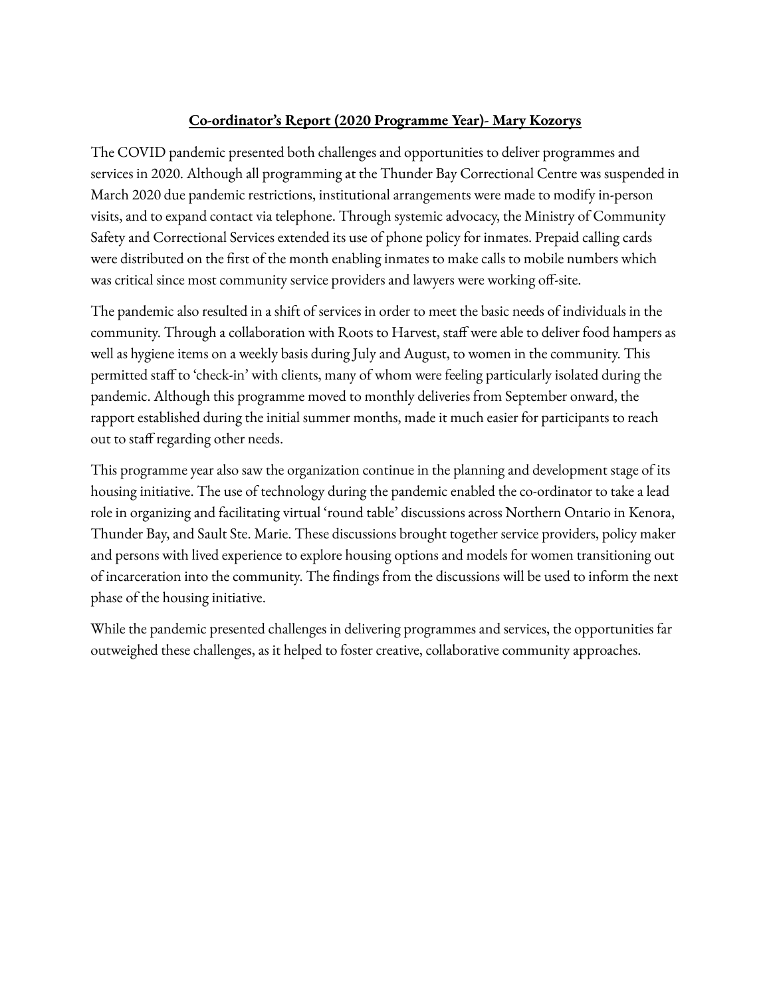## **Co-ordinator's Report (2020 Programme Year)- Mary Kozorys**

The COVID pandemic presented both challenges and opportunities to deliver programmes and services in 2020. Although all programming at the Thunder Bay Correctional Centre was suspended in March 2020 due pandemic restrictions, institutional arrangements were made to modify in-person visits, and to expand contact via telephone. Through systemic advocacy, the Ministry of Community Safety and Correctional Services extended its use of phone policy for inmates. Prepaid calling cards were distributed on the first of the month enabling inmates to make calls to mobile numbers which was critical since most community service providers and lawyers were working off-site.

The pandemic also resulted in a shift of services in order to meet the basic needs of individuals in the community. Through a collaboration with Roots to Harvest, staff were able to deliver food hampers as well as hygiene items on a weekly basis during July and August, to women in the community. This permitted staff to 'check-in' with clients, many of whom were feeling particularly isolated during the pandemic. Although this programme moved to monthly deliveries from September onward, the rapport established during the initial summer months, made it much easier for participants to reach out to staff regarding other needs.

This programme year also saw the organization continue in the planning and development stage of its housing initiative. The use of technology during the pandemic enabled the co-ordinator to take a lead role in organizing and facilitating virtual 'round table' discussions across Northern Ontario in Kenora, Thunder Bay, and Sault Ste. Marie. These discussions brought together service providers, policy maker and persons with lived experience to explore housing options and models for women transitioning out of incarceration into the community. The findings from the discussions will be used to inform the next phase of the housing initiative.

While the pandemic presented challenges in delivering programmes and services, the opportunities far outweighed these challenges, as it helped to foster creative, collaborative community approaches.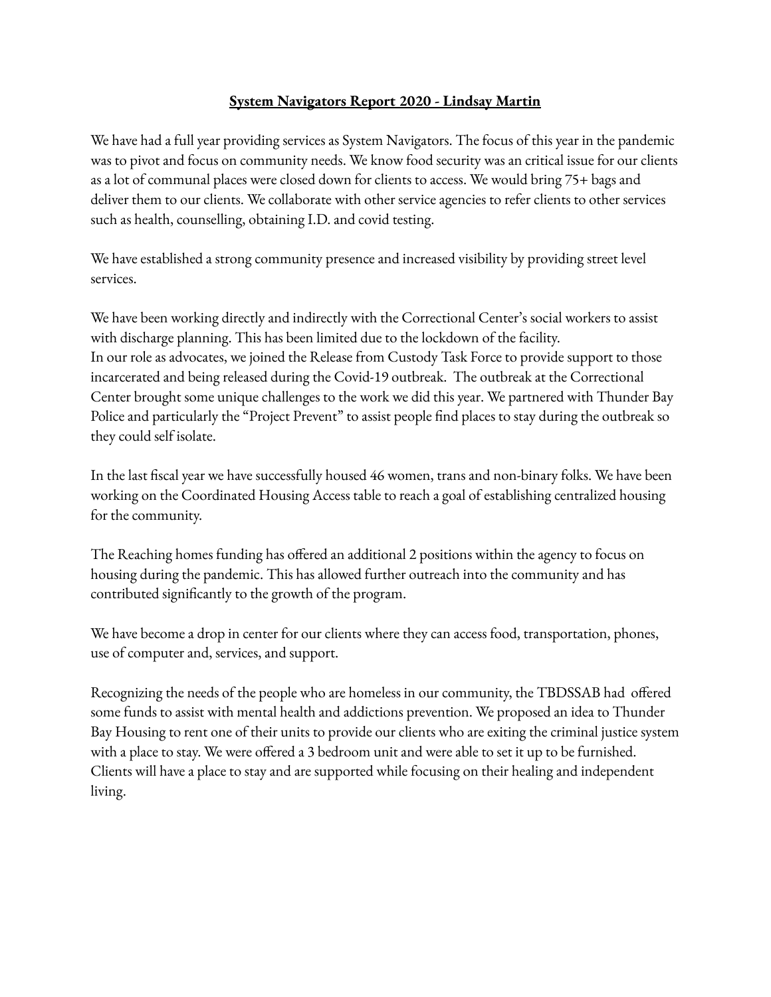## **System Navigators Report 2020 - Lindsay Martin**

We have had a full year providing services as System Navigators. The focus of this year in the pandemic was to pivot and focus on community needs. We know food security was an critical issue for our clients as a lot of communal places were closed down for clients to access. We would bring 75+ bags and deliver them to our clients. We collaborate with other service agencies to refer clients to other services such as health, counselling, obtaining I.D. and covid testing.

We have established a strong community presence and increased visibility by providing street level services.

We have been working directly and indirectly with the Correctional Center's social workers to assist with discharge planning. This has been limited due to the lockdown of the facility. In our role as advocates, we joined the Release from Custody Task Force to provide support to those incarcerated and being released during the Covid-19 outbreak. The outbreak at the Correctional Center brought some unique challenges to the work we did this year. We partnered with Thunder Bay Police and particularly the "Project Prevent" to assist people find places to stay during the outbreak so they could self isolate.

In the last fiscal year we have successfully housed 46 women, trans and non-binary folks. We have been working on the Coordinated Housing Access table to reach a goal of establishing centralized housing for the community.

The Reaching homes funding has offered an additional 2 positions within the agency to focus on housing during the pandemic. This has allowed further outreach into the community and has contributed significantly to the growth of the program.

We have become a drop in center for our clients where they can access food, transportation, phones, use of computer and, services, and support.

Recognizing the needs of the people who are homeless in our community, the TBDSSAB had offered some funds to assist with mental health and addictions prevention. We proposed an idea to Thunder Bay Housing to rent one of their units to provide our clients who are exiting the criminal justice system with a place to stay. We were offered a 3 bedroom unit and were able to set it up to be furnished. Clients will have a place to stay and are supported while focusing on their healing and independent living.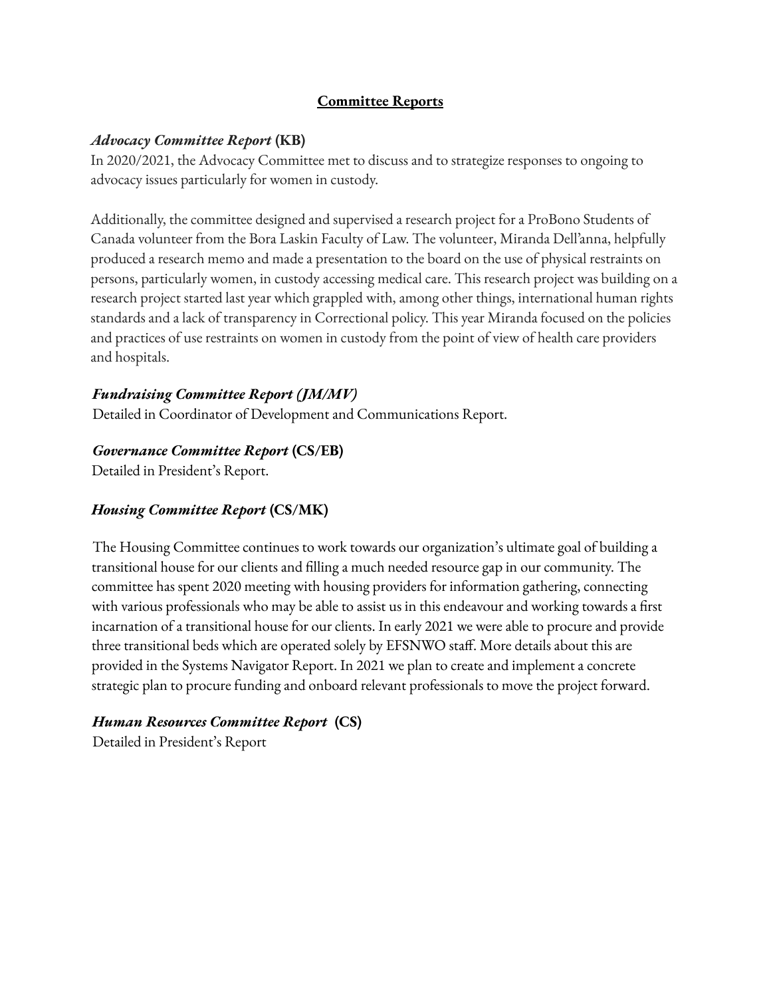## **Committee Reports**

## *Advocacy Committee Report* **(KB)**

In 2020/2021, the Advocacy Committee met to discuss and to strategize responses to ongoing to advocacy issues particularly for women in custody.

Additionally, the committee designed and supervised a research project for a ProBono Students of Canada volunteer from the Bora Laskin Faculty of Law. The volunteer, Miranda Dell'anna, helpfully produced a research memo and made a presentation to the board on the use of physical restraints on persons, particularly women, in custody accessing medical care. This research project was building on a research project started last year which grappled with, among other things, international human rights standards and a lack of transparency in Correctional policy. This year Miranda focused on the policies and practices of use restraints on women in custody from the point of view of health care providers and hospitals.

## *Fundraising Committee Report (JM/MV)*

Detailed in Coordinator of Development and Communications Report.

## *Governance Committee Report* **(CS/EB)**

Detailed in President's Report.

## *Housing Committee Report* **(CS/MK)**

The Housing Committee continues to work towards our organization's ultimate goal of building a transitional house for our clients and filling a much needed resource gap in our community. The committee has spent 2020 meeting with housing providers for information gathering, connecting with various professionals who may be able to assist us in this endeavour and working towards a first incarnation of a transitional house for our clients. In early 2021 we were able to procure and provide three transitional beds which are operated solely by EFSNWO staff. More details about this are provided in the Systems Navigator Report. In 2021 we plan to create and implement a concrete strategic plan to procure funding and onboard relevant professionals to move the project forward.

## *Human Resources Committee Report* **(CS)**

Detailed in President's Report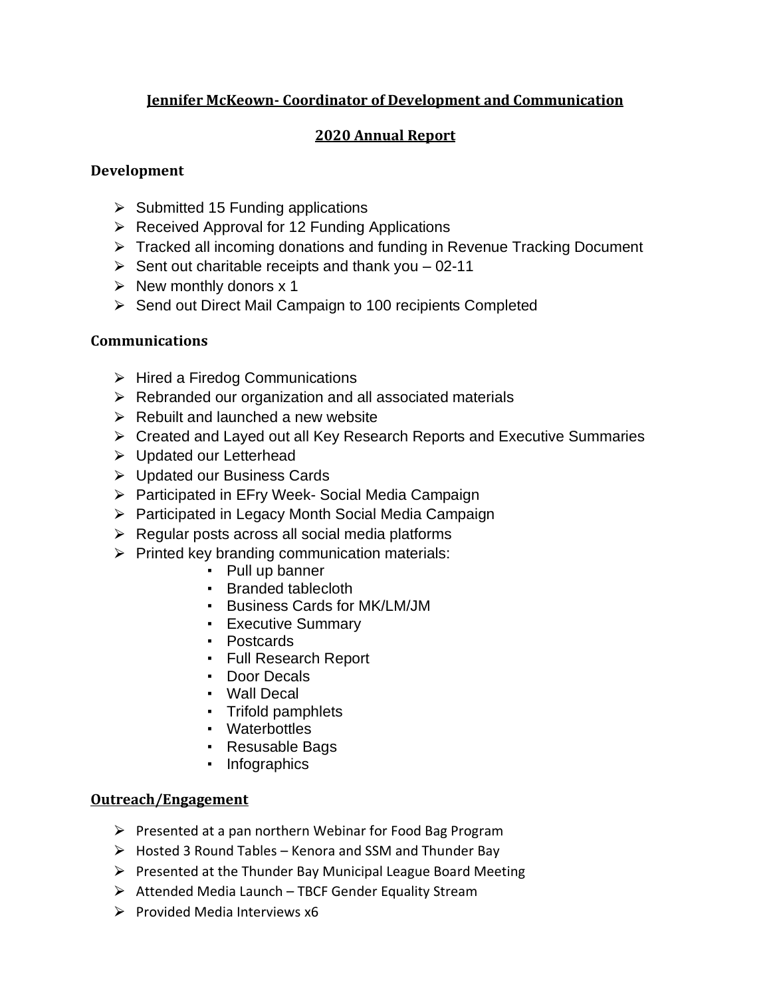## **Jennifer McKeown- Coordinator of Development and Communication**

## **2020 Annual Report**

## **Development**

- $\triangleright$  Submitted 15 Funding applications
- $\triangleright$  Received Approval for 12 Funding Applications
- ▶ Tracked all incoming donations and funding in Revenue Tracking Document
- $\triangleright$  Sent out charitable receipts and thank you 02-11
- $\triangleright$  New monthly donors x 1
- **► Send out Direct Mail Campaign to 100 recipients Completed**

## **Communications**

- $\triangleright$  Hired a Firedog Communications
- $\triangleright$  Rebranded our organization and all associated materials
- $\triangleright$  Rebuilt and launched a new website
- ⮚ Created and Layed out all Key Research Reports and Executive Summaries
- **►** Updated our Letterhead
- ⮚ Updated our Business Cards
- ▶ Participated in EFry Week- Social Media Campaign
- ⮚ Participated in Legacy Month Social Media Campaign
- $\triangleright$  Regular posts across all social media platforms
- $\triangleright$  Printed key branding communication materials:
	- Pull up banner
	- Branded tablecloth
	- Business Cards for MK/LM/JM
	- Executive Summary
	- Postcards
	- Full Research Report
	- Door Decals
	- Wall Decal
	- Trifold pamphlets
	- Waterbottles
	- Resusable Bags
	- Infographics

## **Outreach/Engagement**

- $\triangleright$  Presented at a pan northern Webinar for Food Bag Program
- $\triangleright$  Hosted 3 Round Tables Kenora and SSM and Thunder Bay
- $\triangleright$  Presented at the Thunder Bay Municipal League Board Meeting
- $\triangleright$  Attended Media Launch TBCF Gender Equality Stream
- $\triangleright$  Provided Media Interviews x6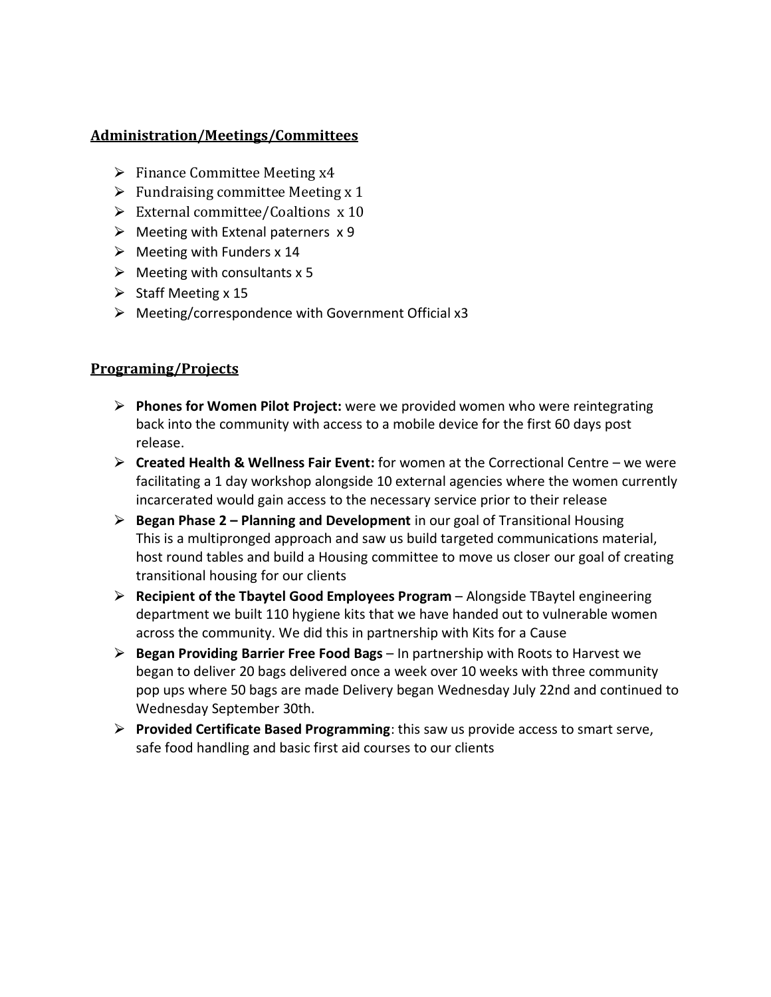#### **Administration/Meetings/Committees**

- $\triangleright$  Finance Committee Meeting x4
- $\triangleright$  Fundraising committee Meeting x 1
- $\triangleright$  External committee/Coaltions x 10
- $\triangleright$  Meeting with Extenal paterners  $x$  9
- $\triangleright$  Meeting with Funders x 14
- $\triangleright$  Meeting with consultants x 5
- $\triangleright$  Staff Meeting x 15
- $\triangleright$  Meeting/correspondence with Government Official x3

## **Programing/Projects**

- ⮚ **Phones for Women Pilot Project:** were we provided women who were reintegrating back into the community with access to a mobile device for the first 60 days post release.
- ⮚ **Created Health & Wellness Fair Event:** for women at the Correctional Centre we were facilitating a 1 day workshop alongside 10 external agencies where the women currently incarcerated would gain access to the necessary service prior to their release
- ⮚ **Began Phase 2 – Planning and Development** in our goal of Transitional Housing This is a multipronged approach and saw us build targeted communications material, host round tables and build a Housing committee to move us closer our goal of creating transitional housing for our clients
- ⮚ **Recipient of the Tbaytel Good Employees Program** Alongside TBaytel engineering department we built 110 hygiene kits that we have handed out to vulnerable women across the community. We did this in partnership with Kits for a Cause
- ⮚ **Began Providing Barrier Free Food Bags** In partnership with Roots to Harvest we began to deliver 20 bags delivered once a week over 10 weeks with three community pop ups where 50 bags are made Delivery began Wednesday July 22nd and continued to Wednesday September 30th.
- ⮚ **Provided Certificate Based Programming**: this saw us provide access to smart serve, safe food handling and basic first aid courses to our clients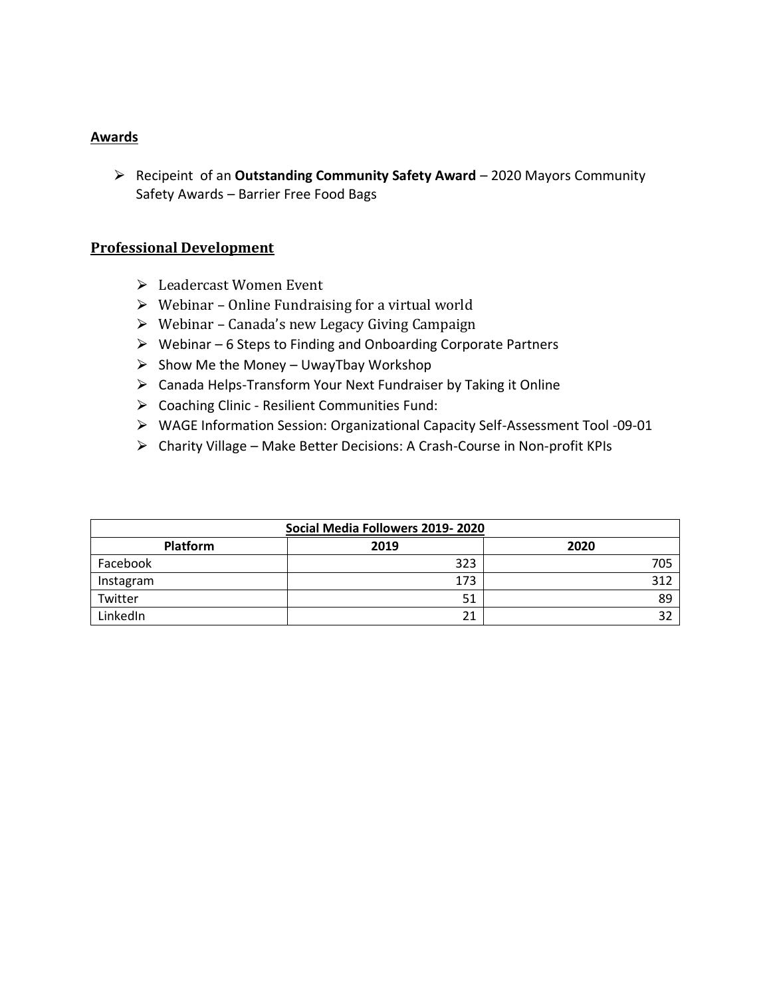#### **Awards**

⮚ Recipeint of an **Outstanding Community Safety Award** – 2020 Mayors Community Safety Awards – Barrier Free Food Bags

#### **Professional Development**

- $\triangleright$  Leadercast Women Event
- $\triangleright$  Webinar Online Fundraising for a virtual world
- $\triangleright$  Webinar Canada's new Legacy Giving Campaign
- $\triangleright$  Webinar 6 Steps to Finding and Onboarding Corporate Partners
- $\triangleright$  Show Me the Money UwayTbay Workshop
- $\triangleright$  Canada Helps-Transform Your Next Fundraiser by Taking it Online
- $\triangleright$  Coaching Clinic Resilient Communities Fund:
- ⮚ WAGE Information Session: Organizational Capacity Self-Assessment Tool -09-01
- ⮚ Charity Village Make Better Decisions: A Crash-Course in Non-profit KPIs

| Social Media Followers 2019-2020 |      |      |  |  |  |  |  |
|----------------------------------|------|------|--|--|--|--|--|
| <b>Platform</b>                  | 2019 | 2020 |  |  |  |  |  |
| Facebook                         | 323  | 705  |  |  |  |  |  |
| Instagram                        | 173  | 312  |  |  |  |  |  |
| Twitter                          | 51   | 89   |  |  |  |  |  |
| LinkedIn                         | 21   | 32   |  |  |  |  |  |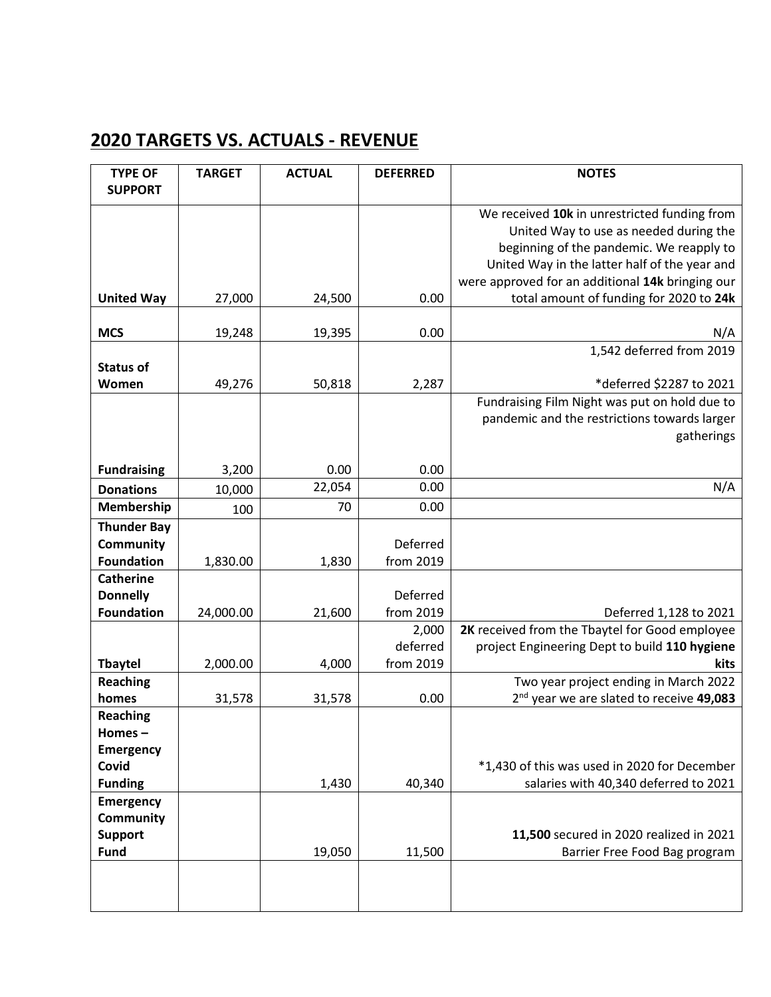## **2020 TARGETS VS. ACTUALS - REVENUE**

| <b>TYPE OF</b>     | <b>TARGET</b> | <b>ACTUAL</b> | <b>DEFERRED</b>   | <b>NOTES</b>                                          |
|--------------------|---------------|---------------|-------------------|-------------------------------------------------------|
| <b>SUPPORT</b>     |               |               |                   |                                                       |
|                    |               |               |                   | We received 10k in unrestricted funding from          |
|                    |               |               |                   | United Way to use as needed during the                |
|                    |               |               |                   | beginning of the pandemic. We reapply to              |
|                    |               |               |                   | United Way in the latter half of the year and         |
|                    |               |               |                   | were approved for an additional 14k bringing our      |
| <b>United Way</b>  | 27,000        | 24,500        | 0.00              | total amount of funding for 2020 to 24k               |
|                    |               |               |                   |                                                       |
| <b>MCS</b>         | 19,248        | 19,395        | 0.00              | N/A<br>1,542 deferred from 2019                       |
| <b>Status of</b>   |               |               |                   |                                                       |
| Women              | 49,276        | 50,818        | 2,287             | *deferred \$2287 to 2021                              |
|                    |               |               |                   | Fundraising Film Night was put on hold due to         |
|                    |               |               |                   | pandemic and the restrictions towards larger          |
|                    |               |               |                   | gatherings                                            |
|                    |               |               |                   |                                                       |
| <b>Fundraising</b> | 3,200         | 0.00          | 0.00              |                                                       |
| <b>Donations</b>   | 10,000        | 22,054        | 0.00              | N/A                                                   |
| Membership         | 100           | 70            | 0.00              |                                                       |
| <b>Thunder Bay</b> |               |               |                   |                                                       |
| Community          |               |               | Deferred          |                                                       |
| <b>Foundation</b>  | 1,830.00      | 1,830         | from 2019         |                                                       |
| <b>Catherine</b>   |               |               |                   |                                                       |
| <b>Donnelly</b>    |               |               | Deferred          |                                                       |
| <b>Foundation</b>  | 24,000.00     | 21,600        | from 2019         | Deferred 1,128 to 2021                                |
|                    |               |               | 2,000<br>deferred | 2K received from the Tbaytel for Good employee        |
| <b>Tbaytel</b>     | 2,000.00      | 4,000         | from 2019         | project Engineering Dept to build 110 hygiene<br>kits |
| <b>Reaching</b>    |               |               |                   | Two year project ending in March 2022                 |
| homes              | 31,578        | 31,578        | 0.00              | 2 <sup>nd</sup> year we are slated to receive 49,083  |
| <b>Reaching</b>    |               |               |                   |                                                       |
| Homes-             |               |               |                   |                                                       |
| <b>Emergency</b>   |               |               |                   |                                                       |
| Covid              |               |               |                   | *1,430 of this was used in 2020 for December          |
| <b>Funding</b>     |               | 1,430         | 40,340            | salaries with 40,340 deferred to 2021                 |
| <b>Emergency</b>   |               |               |                   |                                                       |
| Community          |               |               |                   |                                                       |
| <b>Support</b>     |               |               |                   | 11,500 secured in 2020 realized in 2021               |
| <b>Fund</b>        |               | 19,050        | 11,500            | Barrier Free Food Bag program                         |
|                    |               |               |                   |                                                       |
|                    |               |               |                   |                                                       |